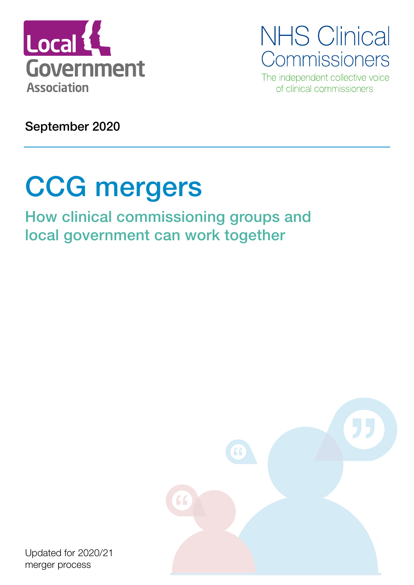

**NHS Clinical** Commissioners

The independent collective voice of clinical commissioners

September 2020

# CCG mergers

How clinical commissioning groups and local government can work together



Updated for 2020/21 merger process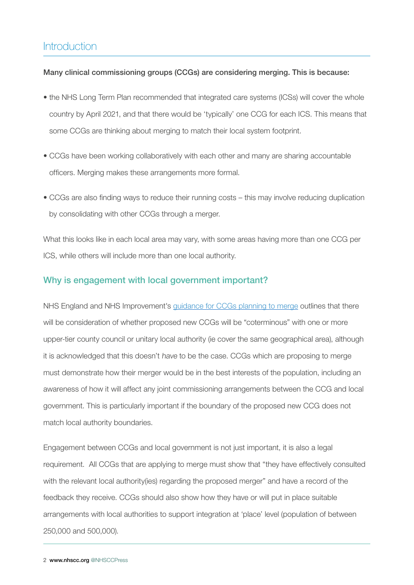### **Introduction**

#### Many clinical commissioning groups (CCGs) are considering merging. This is because:

- the NHS Long Term Plan recommended that integrated care systems (ICSs) will cover the whole country by April 2021, and that there would be 'typically' one CCG for each ICS. This means that some CCGs are thinking about merging to match their local system footprint.
- CCGs have been working collaboratively with each other and many are sharing accountable officers. Merging makes these arrangements more formal.
- CCGs are also finding ways to reduce their running costs this may involve reducing duplication by consolidating with other CCGs through a merger.

What this looks like in each local area may vary, with some areas having more than one CCG per ICS, while others will include more than one local authority.

#### Why is engagement with local government important?

NHS England and NHS Improvement's [guidance for CCGs planning to merge](https://www.england.nhs.uk/publication/procedures-for-clinical-commissioning-groups-to-apply-for-constitution-change-merger-or-dissolution/) outlines that there will be consideration of whether proposed new CCGs will be "coterminous" with one or more upper-tier county council or unitary local authority (ie cover the same geographical area), although it is acknowledged that this doesn't have to be the case. CCGs which are proposing to merge must demonstrate how their merger would be in the best interests of the population, including an awareness of how it will affect any joint commissioning arrangements between the CCG and local government. This is particularly important if the boundary of the proposed new CCG does not match local authority boundaries.

Engagement between CCGs and local government is not just important, it is also a legal requirement. All CCGs that are applying to merge must show that "they have effectively consulted with the relevant local authority(ies) regarding the proposed merger" and have a record of the feedback they receive. CCGs should also show how they have or will put in place suitable arrangements with local authorities to support integration at 'place' level (population of between 250,000 and 500,000).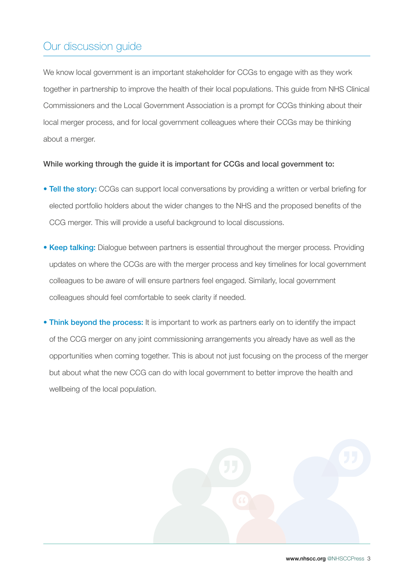### Our discussion guide

We know local government is an important stakeholder for CCGs to engage with as they work together in partnership to improve the health of their local populations. This guide from NHS Clinical Commissioners and the Local Government Association is a prompt for CCGs thinking about their local merger process, and for local government colleagues where their CCGs may be thinking about a merger.

#### While working through the guide it is important for CCGs and local government to:

- Tell the story: CCGs can support local conversations by providing a written or verbal briefing for elected portfolio holders about the wider changes to the NHS and the proposed benefits of the CCG merger. This will provide a useful background to local discussions.
- Keep talking: Dialogue between partners is essential throughout the merger process. Providing updates on where the CCGs are with the merger process and key timelines for local government colleagues to be aware of will ensure partners feel engaged. Similarly, local government colleagues should feel comfortable to seek clarity if needed.
- Think beyond the process: It is important to work as partners early on to identify the impact of the CCG merger on any joint commissioning arrangements you already have as well as the opportunities when coming together. This is about not just focusing on the process of the merger but about what the new CCG can do with local government to better improve the health and wellbeing of the local population.

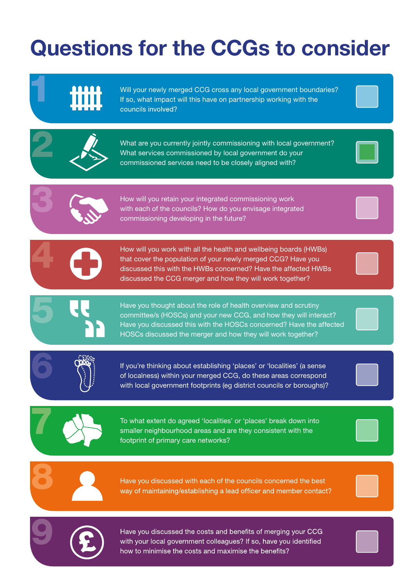# Questions for the CCGs to consider





Have you discussed the costs and benefits of merging your CCG with your local government colleagues? If so, have you identified how to minimise the costs and maximise the benefits?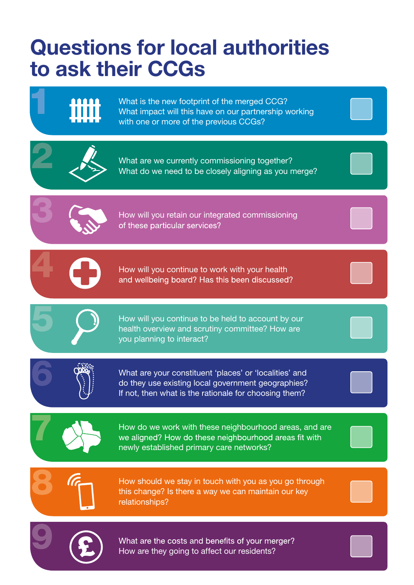# Questions for local authorities to ask their CCGs



What is the new footprint of the merged CCG? What impact will this have on our partnership working with one or more of the previous CCGs?



What are we currently commissioning together? What do we need to be closely aligning as you merge?



How will you retain our integrated commissioning of these particular services?



 How will you continue to work with your health and wellbeing board? Has this been discussed?

How will you continue to be held to account by our health overview and scrutiny committee? How are you planning to interact?



What are your constituent 'places' or 'localities' and do they use existing local government geographies? If not, then what is the rationale for choosing them?



How do we work with these neighbourhood areas, and are we aligned? How do these neighbourhood areas fit with newly established primary care networks?



How should we stay in touch with you as you go through this change? Is there a way we can maintain our key relationships?



What are the costs and benefits of your merger? How are they going to affect our residents?